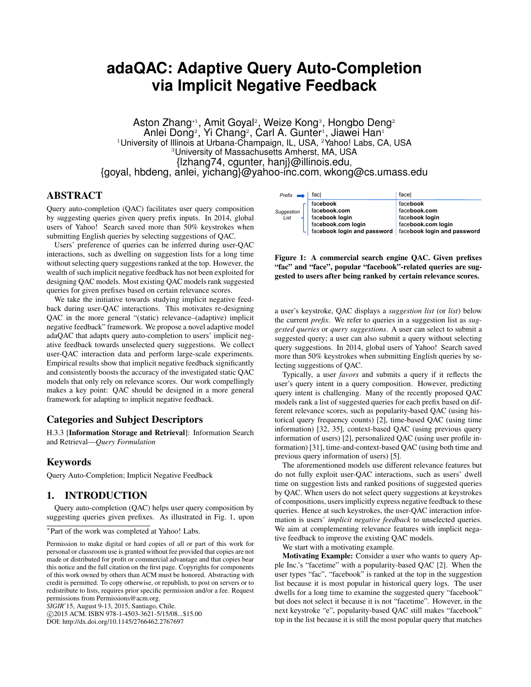# **adaQAC: Adaptive Query Auto-Completion via Implicit Negative Feedback**

Aston Zhang∗<sup>ı</sup>, Amit Goyal<sup>2</sup>, Weize Kong<sup>3</sup>, Hongbo Deng<sup>2</sup> Anlei Dong<sup>2</sup>, Yi Chang<sup>2</sup>, Carl A. Gunter<sup>1</sup>, Jiawei Han<sup>1</sup> <sup>1</sup>University of Illinois at Urbana-Champaign, IL, USA, <sup>2</sup>Yahoo! Labs, CA, USA <sup>3</sup>University of Massachusetts Amherst, MA, USA {lzhang74, cgunter, hanj}@illinois.edu, {goyal, hbdeng, anlei, yichang}@yahoo-inc.com, wkong@cs.umass.edu

## ABSTRACT

Query auto-completion (QAC) facilitates user query composition by suggesting queries given query prefix inputs. In 2014, global users of Yahoo! Search saved more than 50% keystrokes when submitting English queries by selecting suggestions of QAC.

Users' preference of queries can be inferred during user-QAC interactions, such as dwelling on suggestion lists for a long time without selecting query suggestions ranked at the top. However, the wealth of such implicit negative feedback has not been exploited for designing QAC models. Most existing QAC models rank suggested queries for given prefixes based on certain relevance scores.

We take the initiative towards studying implicit negative feedback during user-QAC interactions. This motivates re-designing QAC in the more general "(static) relevance–(adaptive) implicit negative feedback" framework. We propose a novel adaptive model adaQAC that adapts query auto-completion to users' implicit negative feedback towards unselected query suggestions. We collect user-QAC interaction data and perform large-scale experiments. Empirical results show that implicit negative feedback significantly and consistently boosts the accuracy of the investigated static QAC models that only rely on relevance scores. Our work compellingly makes a key point: QAC should be designed in a more general framework for adapting to implicit negative feedback.

## Categories and Subject Descriptors

H.3.3 [Information Storage and Retrieval]: Information Search and Retrieval—*Query Formulation*

## Keywords

Query Auto-Completion; Implicit Negative Feedback

## 1. INTRODUCTION

Query auto-completion (QAC) helps user query composition by suggesting queries given prefixes. As illustrated in Fig. 1, upon

*SIGIR*'15, August 9-13, 2015, Santiago, Chile.

c 2015 ACM. ISBN 978-1-4503-3621-5/15/08...\$15.00

DOI: http://dx.doi.org/10.1145/2766462.2767697

| $Prefix \rightarrow$ | facl                                                      | facel              |  |  |  |  |
|----------------------|-----------------------------------------------------------|--------------------|--|--|--|--|
|                      | facebook                                                  | facebook           |  |  |  |  |
| Suggestion<br>List   | facebook.com                                              | facebook.com       |  |  |  |  |
|                      | facebook login                                            | facebook login     |  |  |  |  |
|                      | facebook.com login                                        | facebook.com login |  |  |  |  |
|                      | facebook login and password   facebook login and password |                    |  |  |  |  |

Figure 1: A commercial search engine QAC. Given prefixes "fac" and "face", popular "facebook"-related queries are suggested to users after being ranked by certain relevance scores.

a user's keystroke, QAC displays a *suggestion list* (or *list*) below the current *prefix*. We refer to queries in a suggestion list as *suggested queries* or *query suggestions*. A user can select to submit a suggested query; a user can also submit a query without selecting query suggestions. In 2014, global users of Yahoo! Search saved more than 50% keystrokes when submitting English queries by selecting suggestions of QAC.

Typically, a user *favors* and submits a query if it reflects the user's query intent in a query composition. However, predicting query intent is challenging. Many of the recently proposed QAC models rank a list of suggested queries for each prefix based on different relevance scores, such as popularity-based QAC (using historical query frequency counts) [2], time-based QAC (using time information) [32, 35], context-based QAC (using previous query information of users) [2], personalized QAC (using user profile information) [31], time-and-context-based QAC (using both time and previous query information of users) [5].

The aforementioned models use different relevance features but do not fully exploit user-QAC interactions, such as users' dwell time on suggestion lists and ranked positions of suggested queries by QAC. When users do not select query suggestions at keystrokes of compositions, users implicitly express negative feedback to these queries. Hence at such keystrokes, the user-QAC interaction information is users' *implicit negative feedback* to unselected queries. We aim at complementing relevance features with implicit negative feedback to improve the existing QAC models.

We start with a motivating example.

Motivating Example: Consider a user who wants to query Apple Inc.'s "facetime" with a popularity-based QAC [2]. When the user types "fac", "facebook" is ranked at the top in the suggestion list because it is most popular in historical query logs. The user dwells for a long time to examine the suggested query "facebook" but does not select it because it is not "facetime". However, in the next keystroke "e", popularity-based QAC still makes "facebook" top in the list because it is still the most popular query that matches

<sup>∗</sup> Part of the work was completed at Yahoo! Labs.

Permission to make digital or hard copies of all or part of this work for personal or classroom use is granted without fee provided that copies are not made or distributed for profit or commercial advantage and that copies bear this notice and the full citation on the first page. Copyrights for components of this work owned by others than ACM must be honored. Abstracting with credit is permitted. To copy otherwise, or republish, to post on servers or to redistribute to lists, requires prior specific permission and/or a fee. Request permissions from Permissions@acm.org.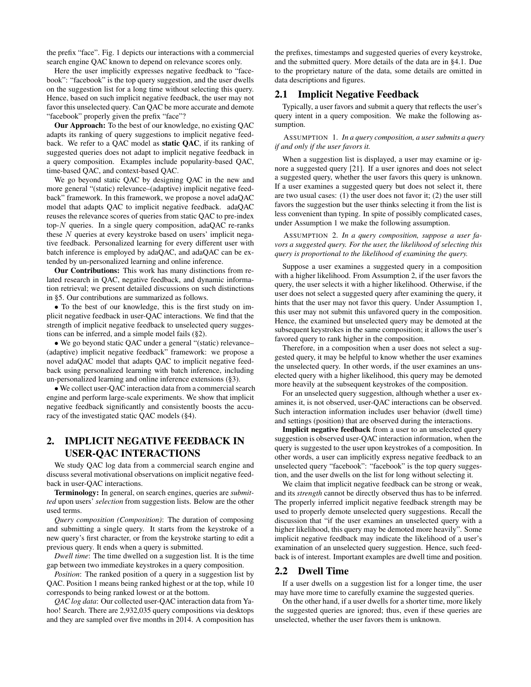the prefix "face". Fig. 1 depicts our interactions with a commercial search engine QAC known to depend on relevance scores only.

Here the user implicitly expresses negative feedback to "facebook": "facebook" is the top query suggestion, and the user dwells on the suggestion list for a long time without selecting this query. Hence, based on such implicit negative feedback, the user may not favor this unselected query. Can QAC be more accurate and demote "facebook" properly given the prefix "face"?

Our Approach: To the best of our knowledge, no existing QAC adapts its ranking of query suggestions to implicit negative feedback. We refer to a QAC model as static QAC, if its ranking of suggested queries does not adapt to implicit negative feedback in a query composition. Examples include popularity-based QAC, time-based QAC, and context-based QAC.

We go beyond static QAC by designing QAC in the new and more general "(static) relevance–(adaptive) implicit negative feedback" framework. In this framework, we propose a novel adaQAC model that adapts QAC to implicit negative feedback. adaQAC reuses the relevance scores of queries from static QAC to pre-index top- $N$  queries. In a single query composition, adaQAC re-ranks these N queries at every keystroke based on users' implicit negative feedback. Personalized learning for every different user with batch inference is employed by adaQAC, and adaQAC can be extended by un-personalized learning and online inference.

Our Contributions: This work has many distinctions from related research in QAC, negative feedback, and dynamic information retrieval; we present detailed discussions on such distinctions in §5. Our contributions are summarized as follows.

• To the best of our knowledge, this is the first study on implicit negative feedback in user-QAC interactions. We find that the strength of implicit negative feedback to unselected query suggestions can be inferred, and a simple model fails (§2).

• We go beyond static QAC under a general "(static) relevance– (adaptive) implicit negative feedback" framework: we propose a novel adaQAC model that adapts QAC to implicit negative feedback using personalized learning with batch inference, including un-personalized learning and online inference extensions (§3).

• We collect user-QAC interaction data from a commercial search engine and perform large-scale experiments. We show that implicit negative feedback significantly and consistently boosts the accuracy of the investigated static QAC models (§4).

# 2. IMPLICIT NEGATIVE FEEDBACK IN USER-QAC INTERACTIONS

We study QAC log data from a commercial search engine and discuss several motivational observations on implicit negative feedback in user-QAC interactions.

Terminology: In general, on search engines, queries are *submitted* upon users' *selection* from suggestion lists. Below are the other used terms.

*Query composition (Composition)*: The duration of composing and submitting a single query. It starts from the keystroke of a new query's first character, or from the keystroke starting to edit a previous query. It ends when a query is submitted.

*Dwell time*: The time dwelled on a suggestion list. It is the time gap between two immediate keystrokes in a query composition.

*Position*: The ranked position of a query in a suggestion list by QAC. Position 1 means being ranked highest or at the top, while 10 corresponds to being ranked lowest or at the bottom.

*QAC log data*: Our collected user-QAC interaction data from Yahoo! Search. There are 2,932,035 query compositions via desktops and they are sampled over five months in 2014. A composition has

the prefixes, timestamps and suggested queries of every keystroke, and the submitted query. More details of the data are in §4.1. Due to the proprietary nature of the data, some details are omitted in data descriptions and figures.

#### 2.1 Implicit Negative Feedback

Typically, a user favors and submit a query that reflects the user's query intent in a query composition. We make the following assumption.

ASSUMPTION 1. *In a query composition, a user submits a query if and only if the user favors it.*

When a suggestion list is displayed, a user may examine or ignore a suggested query [21]. If a user ignores and does not select a suggested query, whether the user favors this query is unknown. If a user examines a suggested query but does not select it, there are two usual cases: (1) the user does not favor it; (2) the user still favors the suggestion but the user thinks selecting it from the list is less convenient than typing. In spite of possibly complicated cases, under Assumption 1 we make the following assumption.

ASSUMPTION 2. *In a query composition, suppose a user favors a suggested query. For the user, the likelihood of selecting this query is proportional to the likelihood of examining the query.*

Suppose a user examines a suggested query in a composition with a higher likelihood. From Assumption 2, if the user favors the query, the user selects it with a higher likelihood. Otherwise, if the user does not select a suggested query after examining the query, it hints that the user may not favor this query. Under Assumption 1, this user may not submit this unfavored query in the composition. Hence, the examined but unselected query may be demoted at the subsequent keystrokes in the same composition; it allows the user's favored query to rank higher in the composition.

Therefore, in a composition when a user does not select a suggested query, it may be helpful to know whether the user examines the unselected query. In other words, if the user examines an unselected query with a higher likelihood, this query may be demoted more heavily at the subsequent keystrokes of the composition.

For an unselected query suggestion, although whether a user examines it, is not observed, user-QAC interactions can be observed. Such interaction information includes user behavior (dwell time) and settings (position) that are observed during the interactions.

Implicit negative feedback from a user to an unselected query suggestion is observed user-QAC interaction information, when the query is suggested to the user upon keystrokes of a composition. In other words, a user can implicitly express negative feedback to an unselected query "facebook": "facebook" is the top query suggestion, and the user dwells on the list for long without selecting it.

We claim that implicit negative feedback can be strong or weak, and its *strength* cannot be directly observed thus has to be inferred. The properly inferred implicit negative feedback strength may be used to properly demote unselected query suggestions. Recall the discussion that "if the user examines an unselected query with a higher likelihood, this query may be demoted more heavily". Some implicit negative feedback may indicate the likelihood of a user's examination of an unselected query suggestion. Hence, such feedback is of interest. Important examples are dwell time and position.

#### 2.2 Dwell Time

If a user dwells on a suggestion list for a longer time, the user may have more time to carefully examine the suggested queries.

On the other hand, if a user dwells for a shorter time, more likely the suggested queries are ignored; thus, even if these queries are unselected, whether the user favors them is unknown.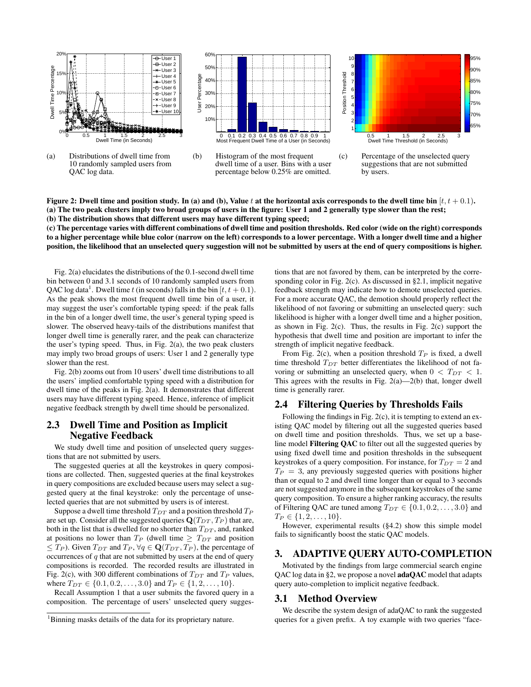

Figure 2: Dwell time and position study. In (a) and (b), Value t at the horizontal axis corresponds to the dwell time bin  $[t, t + 0.1)$ . (a) The two peak clusters imply two broad groups of users in the figure: User 1 and 2 generally type slower than the rest; (b) The distribution shows that different users may have different typing speed;

(c) The percentage varies with different combinations of dwell time and position thresholds. Red color (wide on the right) corresponds to a higher percentage while blue color (narrow on the left) corresponds to a lower percentage. With a longer dwell time and a higher position, the likelihood that an unselected query suggestion will not be submitted by users at the end of query compositions is higher.

Fig. 2(a) elucidates the distributions of the 0.1-second dwell time bin between 0 and 3.1 seconds of 10 randomly sampled users from QAC log data<sup>1</sup>. Dwell time t (in seconds) falls in the bin [ $t, t + 0.1$ ). As the peak shows the most frequent dwell time bin of a user, it may suggest the user's comfortable typing speed: if the peak falls in the bin of a longer dwell time, the user's general typing speed is slower. The observed heavy-tails of the distributions manifest that longer dwell time is generally rarer, and the peak can characterize the user's typing speed. Thus, in Fig. 2(a), the two peak clusters may imply two broad groups of users: User 1 and 2 generally type slower than the rest.

Fig. 2(b) zooms out from 10 users' dwell time distributions to all the users' implied comfortable typing speed with a distribution for dwell time of the peaks in Fig. 2(a). It demonstrates that different users may have different typing speed. Hence, inference of implicit negative feedback strength by dwell time should be personalized.

#### 2.3 Dwell Time and Position as Implicit Negative Feedback

We study dwell time and position of unselected query suggestions that are not submitted by users.

The suggested queries at all the keystrokes in query compositions are collected. Then, suggested queries at the final keystrokes in query compositions are excluded because users may select a suggested query at the final keystroke: only the percentage of unselected queries that are not submitted by users is of interest.

Suppose a dwell time threshold  $T_{DT}$  and a position threshold  $T_P$ are set up. Consider all the suggested queries  $\mathbf{Q}(T_{DT}, T_P)$  that are, both in the list that is dwelled for no shorter than  $T_{DT}$ , and, ranked at positions no lower than  $T_P$  (dwell time  $\geq T_{DT}$  and position  $\leq T_P$ ). Given  $T_{DT}$  and  $T_P$ ,  $\forall q \in \mathbf{Q}(T_{DT}, T_P)$ , the percentage of occurrences of  $q$  that are not submitted by users at the end of query compositions is recorded. The recorded results are illustrated in Fig. 2(c), with 300 different combinations of  $T_{DT}$  and  $T_P$  values, where  $T_{DT} \in \{0.1, 0.2, \ldots, 3.0\}$  and  $T_P \in \{1, 2, \ldots, 10\}$ .

Recall Assumption 1 that a user submits the favored query in a composition. The percentage of users' unselected query suggestions that are not favored by them, can be interpreted by the corresponding color in Fig. 2(c). As discussed in §2.1, implicit negative feedback strength may indicate how to demote unselected queries. For a more accurate QAC, the demotion should properly reflect the likelihood of not favoring or submitting an unselected query: such likelihood is higher with a longer dwell time and a higher position, as shown in Fig. 2(c). Thus, the results in Fig. 2(c) support the hypothesis that dwell time and position are important to infer the strength of implicit negative feedback.

From Fig. 2(c), when a position threshold  $T_P$  is fixed, a dwell time threshold  $T_{DT}$  better differentiates the likelihood of not favoring or submitting an unselected query, when  $0 < T_{DT} < 1$ . This agrees with the results in Fig.  $2(a)$ — $2(b)$  that, longer dwell time is generally rarer.

## 2.4 Filtering Queries by Thresholds Fails

Following the findings in Fig. 2(c), it is tempting to extend an existing QAC model by filtering out all the suggested queries based on dwell time and position thresholds. Thus, we set up a baseline model Filtering QAC to filter out all the suggested queries by using fixed dwell time and position thresholds in the subsequent keystrokes of a query composition. For instance, for  $T_{DT} = 2$  and  $T_P = 3$ , any previously suggested queries with positions higher than or equal to 2 and dwell time longer than or equal to 3 seconds are not suggested anymore in the subsequent keystrokes of the same query composition. To ensure a higher ranking accuracy, the results of Filtering QAC are tuned among  $T_{DT} \in \{0.1, 0.2, \ldots, 3.0\}$  and  $T_P \in \{1, 2, \ldots, 10\}.$ 

However, experimental results (§4.2) show this simple model fails to significantly boost the static QAC models.

### 3. ADAPTIVE QUERY AUTO-COMPLETION

Motivated by the findings from large commercial search engine QAC log data in §2, we propose a novel **adaQAC** model that adapts query auto-completion to implicit negative feedback.

#### 3.1 Method Overview

We describe the system design of adaQAC to rank the suggested queries for a given prefix. A toy example with two queries "face-

<sup>&</sup>lt;sup>1</sup>Binning masks details of the data for its proprietary nature.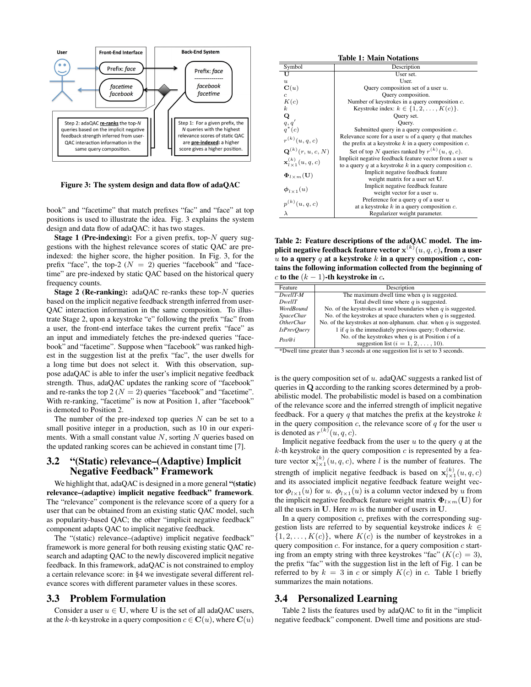

Figure 3: The system design and data flow of adaQAC

book" and "facetime" that match prefixes "fac" and "face" at top positions is used to illustrate the idea. Fig. 3 explains the system design and data flow of adaQAC: it has two stages.

**Stage 1 (Pre-indexing):** For a given prefix, top- $N$  query suggestions with the highest relevance scores of static QAC are preindexed: the higher score, the higher position. In Fig. 3, for the prefix "face", the top-2 ( $N = 2$ ) queries "facebook" and "facetime" are pre-indexed by static QAC based on the historical query frequency counts.

**Stage 2 (Re-ranking):** adaQAC re-ranks these top- $N$  queries based on the implicit negative feedback strength inferred from user-QAC interaction information in the same composition. To illustrate Stage 2, upon a keystroke "e" following the prefix "fac" from a user, the front-end interface takes the current prefix "face" as an input and immediately fetches the pre-indexed queries "facebook" and "facetime". Suppose when "facebook" was ranked highest in the suggestion list at the prefix "fac", the user dwells for a long time but does not select it. With this observation, suppose adaQAC is able to infer the user's implicit negative feedback strength. Thus, adaQAC updates the ranking score of "facebook" and re-ranks the top 2 ( $N = 2$ ) queries "facebook" and "facetime". With re-ranking, "facetime" is now at Position 1, after "facebook" is demoted to Position 2.

The number of the pre-indexed top queries  $N$  can be set to a small positive integer in a production, such as 10 in our experiments. With a small constant value  $N$ , sorting  $N$  queries based on the updated ranking scores can be achieved in constant time [7].

#### 3.2 "(Static) relevance–(Adaptive) Implicit Negative Feedback" Framework

We highlight that, adaQAC is designed in a more general "(static) relevance–(adaptive) implicit negative feedback" framework. The "relevance" component is the relevance score of a query for a user that can be obtained from an existing static QAC model, such as popularity-based QAC; the other "implicit negative feedback" component adapts QAC to implicit negative feedback.

The "(static) relevance–(adaptive) implicit negative feedback" framework is more general for both reusing existing static QAC research and adapting QAC to the newly discovered implicit negative feedback. In this framework, adaQAC is not constrained to employ a certain relevance score: in §4 we investigate several different relevance scores with different parameter values in these scores.

#### 3.3 Problem Formulation

Consider a user  $u \in U$ , where U is the set of all adaQAC users, at the k-th keystroke in a query composition  $c \in \mathbf{C}(u)$ , where  $\mathbf{C}(u)$ 

| <b>Table 1: Main Notations</b>         |                                                                |  |  |  |  |  |  |
|----------------------------------------|----------------------------------------------------------------|--|--|--|--|--|--|
| Symbol                                 | Description                                                    |  |  |  |  |  |  |
| ŢŢ                                     | User set.                                                      |  |  |  |  |  |  |
| $\boldsymbol{u}$                       | User.                                                          |  |  |  |  |  |  |
| $\mathbf{C}(u)$                        | Query composition set of a user $u$ .                          |  |  |  |  |  |  |
| $\boldsymbol{c}$                       | Query composition.                                             |  |  |  |  |  |  |
| K(c)                                   | Number of keystrokes in a query composition $c$ .              |  |  |  |  |  |  |
| $\boldsymbol{k}$                       | Keystroke index: $k \in \{1, 2, \ldots, K(c)\}.$               |  |  |  |  |  |  |
|                                        | Query set.                                                     |  |  |  |  |  |  |
| $\mathbf{Q}_{q, q'}$                   | Ouery.                                                         |  |  |  |  |  |  |
| $q^*(c)$                               | Submitted query in a query composition $c$ .                   |  |  |  |  |  |  |
| $r^{(k)}(u, q, c)$                     | Relevance score for a user $u$ of a query q that matches       |  |  |  |  |  |  |
|                                        | the prefix at a keystroke $k$ in a query composition $c$ .     |  |  |  |  |  |  |
| $\mathbf{Q}^{(k)}(r, u, c, N)$         | Set of top N queries ranked by $r^{(k)}(u, q, c)$ .            |  |  |  |  |  |  |
| $\mathbf{x}_{l \times 1}^{(k)}(u,q,c)$ | Implicit negative feedback feature vector from a user $u$      |  |  |  |  |  |  |
|                                        | to a query $q$ at a keystroke $k$ in a query composition $c$ . |  |  |  |  |  |  |
| $\Phi_{l \times m}(\mathbf{U})$        | Implicit negative feedback feature                             |  |  |  |  |  |  |
|                                        | weight matrix for a user set U.                                |  |  |  |  |  |  |
| $\phi_{1\times1}(u)$                   | Implicit negative feedback feature                             |  |  |  |  |  |  |
|                                        | weight vector for a user $u$ .                                 |  |  |  |  |  |  |
| $p^{(k)}(u, q, c)$                     | Preference for a query $q$ of a user $u$                       |  |  |  |  |  |  |
|                                        | at a keystroke $k$ in a query composition $c$ .                |  |  |  |  |  |  |
| λ                                      | Regularizer weight parameter.                                  |  |  |  |  |  |  |

Table 2: Feature descriptions of the adaQAC model. The implicit negative feedback feature vector  $\mathbf{x}^{(k)}(u,q,c)$ , from a user u to a query q at a keystroke k in a query composition  $c$ , contains the following information collected from the beginning of c to the  $(k - 1)$ -th keystroke in c.

| Feature            | Description                                                                     |
|--------------------|---------------------------------------------------------------------------------|
| $DwellT-M$         | The maximum dwell time when $q$ is suggested.                                   |
| DwellT             | Total dwell time where $q$ is suggested.                                        |
| <b>WordBound</b>   | No. of the keystrokes at word boundaries when $q$ is suggested.                 |
| <b>SpaceChar</b>   | No. of the keystrokes at space characters when $q$ is suggested.                |
| <i>OtherChar</i>   | No. of the keystrokes at non-alphanum, char, when $q$ is suggested.             |
| <b>IsPrevOuery</b> | 1 if $q$ is the immediately previous query; 0 otherwise.                        |
| Pos@i              | No. of the keystrokes when $q$ is at Position $i$ of a                          |
|                    | suggestion list $(i = 1, 2, \ldots, 10)$ .                                      |
|                    | *Druall time spectra than 2 consule of one cusposition list is not to 2 consule |

Dwell time greater than 3 seconds at one suggestion list is set to 3 seconds.

is the query composition set of  $u$ . adaQAC suggests a ranked list of queries in Q according to the ranking scores determined by a probabilistic model. The probabilistic model is based on a combination of the relevance score and the inferred strength of implicit negative feedback. For a query  $q$  that matches the prefix at the keystroke  $k$ in the query composition  $c$ , the relevance score of  $q$  for the user  $u$ is denoted as  $r^{(k)}(u, q, c)$ .

Implicit negative feedback from the user  $u$  to the query  $q$  at the  $k$ -th keystroke in the query composition  $c$  is represented by a feature vector  $\mathbf{x}_{l \times 1}^{(k)}(u, q, c)$ , where l is the number of features. The strength of implicit negative feedback is based on  $\mathbf{x}_{l \times 1}^{(k)}(u, q, c)$ and its associated implicit negative feedback feature weight vector  $\phi_{l\times1}(u)$  for u.  $\phi_{l\times1}(u)$  is a column vector indexed by u from the implicit negative feedback feature weight matrix  $\mathbf{\Phi}_{l \times m}(\mathbf{U})$  for all the users in U. Here  $m$  is the number of users in U.

In a query composition  $c$ , prefixes with the corresponding suggestion lists are referred to by sequential keystroke indices  $k \in$  $\{1, 2, \ldots, K(c)\}\$ , where  $K(c)$  is the number of keystrokes in a query composition  $c$ . For instance, for a query composition  $c$  starting from an empty string with three keystrokes "fac"  $(K(c) = 3)$ , the prefix "fac" with the suggestion list in the left of Fig. 1 can be referred to by  $k = 3$  in c or simply  $K(c)$  in c. Table 1 briefly summarizes the main notations.

#### 3.4 Personalized Learning

Table 2 lists the features used by adaQAC to fit in the "implicit negative feedback" component. Dwell time and positions are stud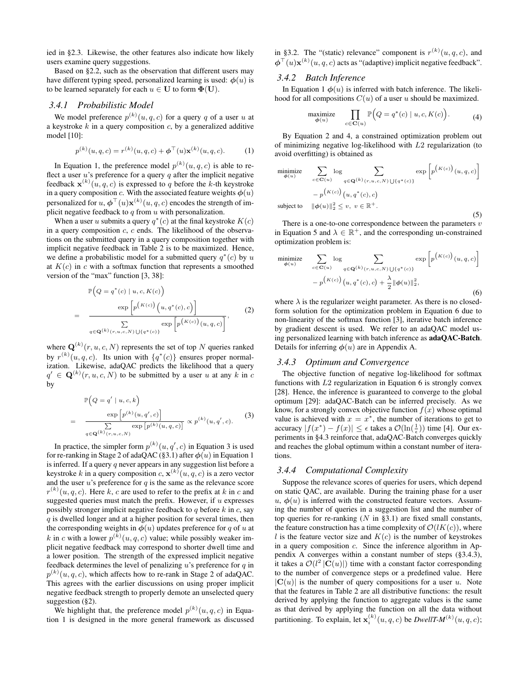ied in §2.3. Likewise, the other features also indicate how likely users examine query suggestions.

Based on §2.2, such as the observation that different users may have different typing speed, personalized learning is used:  $\phi(u)$  is to be learned separately for each  $u \in U$  to form  $\Phi(U)$ .

## *3.4.1 Probabilistic Model*

We model preference  $p^{(k)}(u, q, c)$  for a query q of a user u at a keystroke  $k$  in a query composition  $c$ , by a generalized additive model [10]:

$$
p^{(k)}(u,q,c) = r^{(k)}(u,q,c) + \phi^{\top}(u)\mathbf{x}^{(k)}(u,q,c).
$$
 (1)

In Equation 1, the preference model  $p^{(k)}(u, q, c)$  is able to reflect a user  $u$ 's preference for a query  $q$  after the implicit negative feedback  $\mathbf{x}^{(k)}(u, q, c)$  is expressed to q before the k-th keystroke in a query composition c. With the associated feature weights  $\phi(u)$ personalized for  $u, \boldsymbol{\phi}^\top(u)\mathbf{x}^{(k)}(u, q, c)$  encodes the strength of implicit negative feedback to  $q$  from  $u$  with personalization.

When a user u submits a query  $q^*(c)$  at the final keystroke  $K(c)$ in a query composition  $c$ ,  $c$  ends. The likelihood of the observations on the submitted query in a query composition together with implicit negative feedback in Table 2 is to be maximized. Hence, we define a probabilistic model for a submitted query  $q^*(c)$  by u at  $K(c)$  in c with a softmax function that represents a smoothed version of the "max" function [3, 38]:

$$
\mathbb{P}\left(Q=q^*(c) \mid u, c, K(c)\right)
$$
\n
$$
= \frac{\exp\left[p^{(K(c))}\left(u, q^*(c), c\right)\right]}{\sum\limits_{q \in \mathbf{Q}(k)} \exp\left[p^{(K(c))}\left(u, q, c\right)\right]},
$$
\n(2)

where  $\mathbf{Q}^{(k)}(r, u, c, N)$  represents the set of top N queries ranked by  $r^{(k)}(u, q, c)$ . Its union with  $\{q^*(c)\}$  ensures proper normalization. Likewise, adaQAC predicts the likelihood that a query  $q' \in \mathbf{Q}^{(k)}(r, u, c, N)$  to be submitted by a user u at any k in c by

$$
\mathbb{P}\left(Q=q' \mid u, c, k\right)
$$
\n
$$
= \frac{\exp\left[p^{(k)}(u, q', c)\right]}{\sum\limits_{q \in \mathbf{Q}^{(k)}(r, u, c, N)} \exp\left[p^{(k)}(u, q, c)\right]} \propto p^{(k)}(u, q', c). \tag{3}
$$

In practice, the simpler form  $p^{(k)}(u, q', c)$  in Equation 3 is used for re-ranking in Stage 2 of adaQAC (§3.1) after  $\phi(u)$  in Equation 1 is inferred. If a query q never appears in any suggestion list before a keystroke k in a query composition  $c, \mathbf{x}^{(k)}(u, q, c)$  is a zero vector and the user  $u$ 's preference for  $q$  is the same as the relevance score  $r^{(k)}(u, q, c)$ . Here k, c are used to refer to the prefix at k in c and suggested queries must match the prefix. However, if  $u$  expresses possibly stronger implicit negative feedback to  $q$  before  $k$  in  $c$ , say  $q$  is dwelled longer and at a higher position for several times, then the corresponding weights in  $\phi(u)$  updates preference for q of u at k in c with a lower  $p^{(k)}(u, q, c)$  value; while possibly weaker implicit negative feedback may correspond to shorter dwell time and a lower position. The strength of the expressed implicit negative feedback determines the level of penalizing  $u$ 's preference for  $q$  in  $p^{(k)}(u, q, c)$ , which affects how to re-rank in Stage 2 of adaQAC. This agrees with the earlier discussions on using proper implicit negative feedback strength to properly demote an unselected query suggestion (§2).

We highlight that, the preference model  $p^{(k)}(u, q, c)$  in Equation 1 is designed in the more general framework as discussed in §3.2. The "(static) relevance" component is  $r^{(k)}(u, q, c)$ , and  $\boldsymbol{\phi}^{\top}(u)\mathbf{x}^{(k)}(u,q,c)$  acts as "(adaptive) implicit negative feedback".

#### *3.4.2 Batch Inference*

In Equation 1  $\phi(u)$  is inferred with batch inference. The likelihood for all compositions  $C(u)$  of a user u should be maximized.

$$
\underset{\phi(u)}{\text{maximize}} \quad \prod_{c \in \mathbf{C}(u)} \mathbb{P}\Big(Q = q^*(c) \mid u, c, K(c)\Big). \tag{4}
$$

By Equation 2 and 4, a constrained optimization problem out of minimizing negative log-likelihood with L2 regularization (to avoid overfitting) is obtained as

$$
\begin{aligned}\n\min_{\phi(u)} \text{max} \quad & \sum_{c \in \mathbf{C}(u)} \log \sum_{q \in \mathbf{Q}(k)} \sum_{(r, u, c, N) \cup \{q^*(c)\}} \exp \left[ p^{(K(c))}(u, q, c) \right] \\
&- p^{(K(c))}(u, q^*(c), c) \\
\text{subject to} \quad & \| \phi(u) \|_2^2 \le v, \ v \in \mathbb{R}^+.\n\end{aligned}
$$
\n
$$
(5)
$$

There is a one-to-one correspondence between the parameters  $v$ in Equation 5 and  $\lambda \in \mathbb{R}^+$ , and the corresponding un-constrained optimization problem is:

$$
\begin{aligned}\n\min_{\phi(u)} \text{max} \quad & \sum_{c \in \mathbf{C}(u)} \log \sum_{q \in \mathbf{Q}(k)} \sum_{(r, u, c, N) \cup \{q^*(c)\}} \exp\left[p^{(K(c))}(u, q, c)\right] \\
& \quad - p^{(K(c))}(u, q^*(c), c) + \frac{\lambda}{2} \|\phi(u)\|_2^2,\n\end{aligned}
$$
\n
$$
(6)
$$

where  $\lambda$  is the regularizer weight parameter. As there is no closedform solution for the optimization problem in Equation 6 due to non-linearity of the softmax function [3], iterative batch inference by gradient descent is used. We refer to an adaQAC model using personalized learning with batch inference as adaQAC-Batch. Details for inferring  $\phi(u)$  are in Appendix A.

#### *3.4.3 Optimum and Convergence*

The objective function of negative log-likelihood for softmax functions with  $L2$  regularization in Equation 6 is strongly convex [28]. Hence, the inference is guaranteed to converge to the global optimum [29]: adaQAC-Batch can be inferred precisely. As we know, for a strongly convex objective function  $f(x)$  whose optimal value is achieved with  $x = x^*$ , the number of iterations to get to accuracy  $|f(x^*) - f(x)| \leq \epsilon$  takes a  $\mathcal{O}(\ln(\frac{1}{\epsilon}))$  time [4]. Our experiments in §4.3 reinforce that, adaQAC-Batch converges quickly and reaches the global optimum within a constant number of iterations.

#### *3.4.4 Computational Complexity*

Suppose the relevance scores of queries for users, which depend on static QAC, are available. During the training phase for a user  $u, \phi(u)$  is inferred with the constructed feature vectors. Assuming the number of queries in a suggestion list and the number of top queries for re-ranking  $(N \text{ in } §3.1)$  are fixed small constants, the feature construction has a time complexity of  $\mathcal{O}(lK(c))$ , where l is the feature vector size and  $K(c)$  is the number of keystrokes in a query composition c. Since the inference algorithm in Appendix A converges within a constant number of steps (§3.4.3), it takes a  $\mathcal{O}(l^2 |C(u)|)$  time with a constant factor corresponding to the number of convergence steps or a predefined value. Here  $|\mathbf{C}(u)|$  is the number of query compositions for a user u. Note that the features in Table 2 are all distributive functions: the result derived by applying the function to aggregate values is the same as that derived by applying the function on all the data without partitioning. To explain, let  $\mathbf{x}_i^{(k)}(u, q, c)$  be *DwellT-M*<sup>(k)</sup> $(u, q, c)$ ;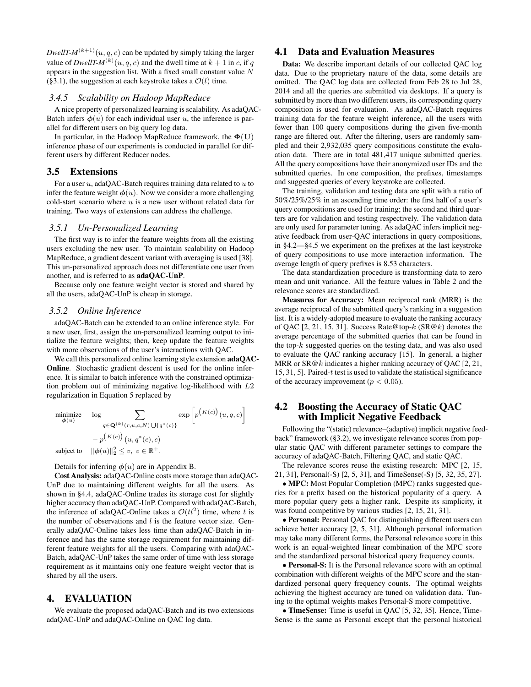*DwellT-M*<sup>(k+1)</sup>(u, q, c) can be updated by simply taking the larger value of *DwellT-M*<sup>(k)</sup>(*u*, *q*, *c*) and the dwell time at  $k + 1$  in *c*, if *q* appears in the suggestion list. With a fixed small constant value  $\overrightarrow{N}$ (§3.1), the suggestion at each keystroke takes a  $\mathcal{O}(l)$  time.

#### *3.4.5 Scalability on Hadoop MapReduce*

A nice property of personalized learning is scalability. As adaQAC-Batch infers  $\phi(u)$  for each individual user u, the inference is parallel for different users on big query log data.

In particular, in the Hadoop MapReduce framework, the  $\Phi(U)$ inference phase of our experiments is conducted in parallel for different users by different Reducer nodes.

#### 3.5 Extensions

For a user  $u$ , adaQAC-Batch requires training data related to  $u$  to infer the feature weight  $\phi(u)$ . Now we consider a more challenging cold-start scenario where  $u$  is a new user without related data for training. Two ways of extensions can address the challenge.

#### *3.5.1 Un-Personalized Learning*

The first way is to infer the feature weights from all the existing users excluding the new user. To maintain scalability on Hadoop MapReduce, a gradient descent variant with averaging is used [38]. This un-personalized approach does not differentiate one user from another, and is referred to as adaQAC-UnP.

Because only one feature weight vector is stored and shared by all the users, adaQAC-UnP is cheap in storage.

#### *3.5.2 Online Inference*

adaQAC-Batch can be extended to an online inference style. For a new user, first, assign the un-personalized learning output to initialize the feature weights; then, keep update the feature weights with more observations of the user's interactions with QAC.

We call this personalized online learning style extension **adaQAC**-Online. Stochastic gradient descent is used for the online inference. It is similar to batch inference with the constrained optimization problem out of minimizing negative log-likelihood with L2 regularization in Equation 5 replaced by

$$
\begin{array}{ll}\text{minimize} & \log \sum_{q \in \mathbf{Q}^{(k)}(r, u, c, N) \cup \{q^*(c)\}} \exp \left[ p^{(K(c))}(u, q, c) \right] \\ & \quad - p^{(K(c))}(u, q^*(c), c) \\ & \text{subject to} & \| \phi(u) \|_2^2 \le v, \ v \in \mathbb{R}^+.\end{array}
$$

Details for inferring  $\phi(u)$  are in Appendix B.

Cost Analysis: adaQAC-Online costs more storage than adaQAC-UnP due to maintaining different weights for all the users. As shown in §4.4, adaQAC-Online trades its storage cost for slightly higher accuracy than adaQAC-UnP. Compared with adaQAC-Batch, the inference of adaQAC-Online takes a  $\mathcal{O}(t l^2)$  time, where t is the number of observations and  $l$  is the feature vector size. Generally adaQAC-Online takes less time than adaQAC-Batch in inference and has the same storage requirement for maintaining different feature weights for all the users. Comparing with adaQAC-Batch, adaQAC-UnP takes the same order of time with less storage requirement as it maintains only one feature weight vector that is shared by all the users.

#### 4. EVALUATION

We evaluate the proposed adaQAC-Batch and its two extensions adaQAC-UnP and adaQAC-Online on QAC log data.

## 4.1 Data and Evaluation Measures

Data: We describe important details of our collected QAC log data. Due to the proprietary nature of the data, some details are omitted. The QAC log data are collected from Feb 28 to Jul 28, 2014 and all the queries are submitted via desktops. If a query is submitted by more than two different users, its corresponding query composition is used for evaluation. As adaQAC-Batch requires training data for the feature weight inference, all the users with fewer than 100 query compositions during the given five-month range are filtered out. After the filtering, users are randomly sampled and their 2,932,035 query compositions constitute the evaluation data. There are in total 481,417 unique submitted queries. All the query compositions have their anonymized user IDs and the submitted queries. In one composition, the prefixes, timestamps and suggested queries of every keystroke are collected.

The training, validation and testing data are split with a ratio of 50%/25%/25% in an ascending time order: the first half of a user's query compositions are used for training; the second and third quarters are for validation and testing respectively. The validation data are only used for parameter tuning. As adaQAC infers implicit negative feedback from user-QAC interactions in query compositions, in §4.2—§4.5 we experiment on the prefixes at the last keystroke of query compositions to use more interaction information. The average length of query prefixes is 8.53 characters.

The data standardization procedure is transforming data to zero mean and unit variance. All the feature values in Table 2 and the relevance scores are standardized.

Measures for Accuracy: Mean reciprocal rank (MRR) is the average reciprocal of the submitted query's ranking in a suggestion list. It is a widely-adopted measure to evaluate the ranking accuracy of QAC  $[2, 21, 15, 31]$ . Success Rate@top- $k$  (SR@ $k$ ) denotes the average percentage of the submitted queries that can be found in the top- $k$  suggested queries on the testing data, and was also used to evaluate the QAC ranking accuracy [15]. In general, a higher MRR or SR@k indicates a higher ranking accuracy of QAC [2, 21, 15, 31, 5]. Paired-t test is used to validate the statistical significance of the accuracy improvement ( $p < 0.05$ ).

#### 4.2 Boosting the Accuracy of Static QAC with Implicit Negative Feedback

Following the "(static) relevance–(adaptive) implicit negative feedback" framework (§3.2), we investigate relevance scores from popular static QAC with different parameter settings to compare the accuracy of adaQAC-Batch, Filtering QAC, and static QAC.

The relevance scores reuse the existing research: MPC [2, 15, 21, 31], Personal(-S) [2, 5, 31], and TimeSense(-S) [5, 32, 35, 27].

• MPC: Most Popular Completion (MPC) ranks suggested queries for a prefix based on the historical popularity of a query. A more popular query gets a higher rank. Despite its simplicity, it was found competitive by various studies [2, 15, 21, 31].

• Personal: Personal QAC for distinguishing different users can achieve better accuracy [2, 5, 31]. Although personal information may take many different forms, the Personal relevance score in this work is an equal-weighted linear combination of the MPC score and the standardized personal historical query frequency counts.

• Personal-S: It is the Personal relevance score with an optimal combination with different weights of the MPC score and the standardized personal query frequency counts. The optimal weights achieving the highest accuracy are tuned on validation data. Tuning to the optimal weights makes Personal-S more competitive.

• TimeSense: Time is useful in QAC [5, 32, 35]. Hence, Time-Sense is the same as Personal except that the personal historical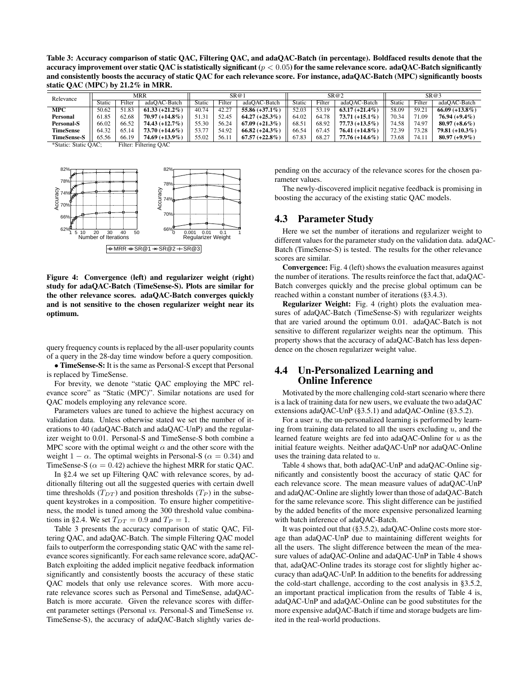Table 3: Accuracy comparison of static QAC, Filtering QAC, and adaQAC-Batch (in percentage). Boldfaced results denote that the accuracy improvement over static QAC is statistically significant ( $p < 0.05$ ) for the same relevance score. adaQAC-Batch significantly and consistently boosts the accuracy of static QAC for each relevance score. For instance, adaQAC-Batch (MPC) significantly boosts static QAC (MPC) by 21.2% in MRR.

| Relevance          | MRR           |        | S R@1             |        |        | SR@2              |        |        | SR@3              |        |        |                   |
|--------------------|---------------|--------|-------------------|--------|--------|-------------------|--------|--------|-------------------|--------|--------|-------------------|
|                    | <b>Static</b> | Filter | adaOAC-Batch      | Static | Filter | adaOAC-Batch      | Static | Filter | adaOAC-Batch      | Static | Filter | adaOAC-Batch      |
| <b>MPC</b>         | 50.62         | 51.83  | $61.33 (+21.2\%)$ | 40.74  | 42.27  | 55.86 $(+37.1\%)$ | 52.03  | 53.19  | $63.17 (+21.4\%)$ | 58.09  | 59.21  | $66.09 (+13.8\%)$ |
| Personal           | 61.85         | 62.68  | $70.97 (+14.8\%)$ | 51.31  | 52.45  | $64.27 (+25.3\%)$ | 64.02  | 64.78  | $73.71 (+15.1\%)$ | 70.34  | 71.09  | $76.94 (+9.4\%)$  |
| <b>Personal-S</b>  | 66.02         | 66.52  | $74.43 (+12.7%)$  | 55.30  | 56.24  | $67.09 (+21.3\%)$ | 68.51  | 68.92  | $77.73 (+13.5\%)$ | 74.58  | 74.97  | $80.97 (+8.6\%)$  |
| <b>TimeSense</b>   | 64.32         | 65.14  | $73.70 (+14.6\%)$ | 53.77  | 54.92  | $66.82 (+24.3\%)$ | 66.54  | 67.45  | $76.41 (+14.8\%)$ | 72.39  | 73.28  | $79.81 (+10.3\%)$ |
| <b>TimeSense-S</b> | 65.56         | 66.19  | 74.69 (+13.9%)    | 55.02  | 56.1   | $67.57 (+22.8\%)$ | 67.83  | 68.27  | $77.76 (+14.6\%)$ | 73.68  | 74.11  | $80.97 (+9.9\%)$  |

\*Static: Static QAC; Filter: Filtering QAC



Figure 4: Convergence (left) and regularizer weight (right) study for adaQAC-Batch (TimeSense-S). Plots are similar for the other relevance scores. adaQAC-Batch converges quickly and is not sensitive to the chosen regularizer weight near its optimum.

query frequency counts is replaced by the all-user popularity counts of a query in the 28-day time window before a query composition.

• TimeSense-S: It is the same as Personal-S except that Personal is replaced by TimeSense.

For brevity, we denote "static QAC employing the MPC relevance score" as "Static (MPC)". Similar notations are used for QAC models employing any relevance score.

Parameters values are tuned to achieve the highest accuracy on validation data. Unless otherwise stated we set the number of iterations to 40 (adaQAC-Batch and adaQAC-UnP) and the regularizer weight to 0.01. Personal-S and TimeSense-S both combine a MPC score with the optimal weight  $\alpha$  and the other score with the weight  $1 - \alpha$ . The optimal weights in Personal-S ( $\alpha = 0.34$ ) and TimeSense-S ( $\alpha = 0.42$ ) achieve the highest MRR for static OAC.

In §2.4 we set up Filtering QAC with relevance scores, by additionally filtering out all the suggested queries with certain dwell time thresholds  $(T_{DT})$  and position thresholds  $(T_P)$  in the subsequent keystrokes in a composition. To ensure higher competitiveness, the model is tuned among the 300 threshold value combinations in §2.4. We set  $T_{DT} = 0.9$  and  $T_P = 1$ .

Table 3 presents the accuracy comparison of static QAC, Filtering QAC, and adaQAC-Batch. The simple Filtering QAC model fails to outperform the corresponding static QAC with the same relevance scores significantly. For each same relevance score, adaQAC-Batch exploiting the added implicit negative feedback information significantly and consistently boosts the accuracy of these static QAC models that only use relevance scores. With more accurate relevance scores such as Personal and TimeSense, adaQAC-Batch is more accurate. Given the relevance scores with different parameter settings (Personal *vs.* Personal-S and TimeSense *vs.* TimeSense-S), the accuracy of adaQAC-Batch slightly varies depending on the accuracy of the relevance scores for the chosen parameter values.

The newly-discovered implicit negative feedback is promising in boosting the accuracy of the existing static QAC models.

## 4.3 Parameter Study

Here we set the number of iterations and regularizer weight to different values for the parameter study on the validation data. adaQAC-Batch (TimeSense-S) is tested. The results for the other relevance scores are similar.

Convergence: Fig. 4 (left) shows the evaluation measures against the number of iterations. The results reinforce the fact that, adaQAC-Batch converges quickly and the precise global optimum can be reached within a constant number of iterations (§3.4.3).

Regularizer Weight: Fig. 4 (right) plots the evaluation measures of adaQAC-Batch (TimeSense-S) with regularizer weights that are varied around the optimum 0.01. adaQAC-Batch is not sensitive to different regularizer weights near the optimum. This property shows that the accuracy of adaQAC-Batch has less dependence on the chosen regularizer weight value.

## 4.4 Un-Personalized Learning and Online Inference

Motivated by the more challenging cold-start scenario where there is a lack of training data for new users, we evaluate the two adaQAC extensions adaQAC-UnP (§3.5.1) and adaQAC-Online (§3.5.2).

For a user  $u$ , the un-personalized learning is performed by learning from training data related to all the users excluding  $u$ , and the learned feature weights are fed into adaQAC-Online for  $u$  as the initial feature weights. Neither adaQAC-UnP nor adaQAC-Online uses the training data related to u.

Table 4 shows that, both adaQAC-UnP and adaQAC-Online significantly and consistently boost the accuracy of static QAC for each relevance score. The mean measure values of adaQAC-UnP and adaQAC-Online are slightly lower than those of adaQAC-Batch for the same relevance score. This slight difference can be justified by the added benefits of the more expensive personalized learning with batch inference of adaQAC-Batch.

It was pointed out that (§3.5.2), adaQAC-Online costs more storage than adaQAC-UnP due to maintaining different weights for all the users. The slight difference between the mean of the measure values of adaQAC-Online and adaQAC-UnP in Table 4 shows that, adaQAC-Online trades its storage cost for slightly higher accuracy than adaQAC-UnP. In addition to the benefits for addressing the cold-start challenge, according to the cost analysis in §3.5.2, an important practical implication from the results of Table 4 is, adaQAC-UnP and adaQAC-Online can be good substitutes for the more expensive adaQAC-Batch if time and storage budgets are limited in the real-world productions.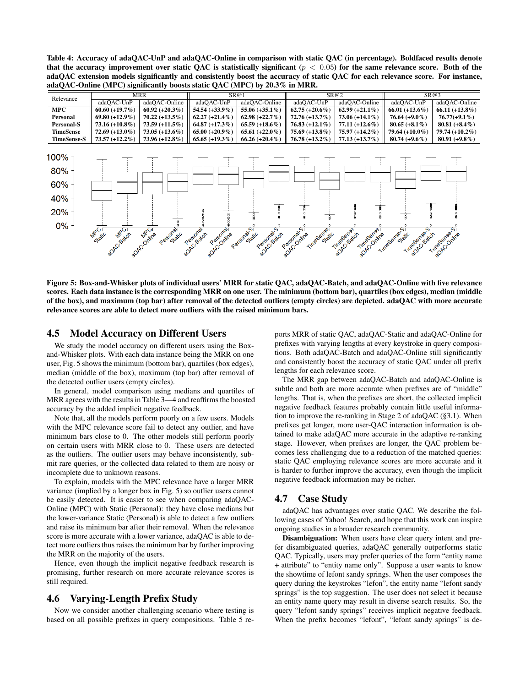Table 4: Accuracy of adaQAC-UnP and adaQAC-Online in comparison with static QAC (in percentage). Boldfaced results denote that the accuracy improvement over static QAC is statistically significant ( $p < 0.05$ ) for the same relevance score. Both of the adaQAC extension models significantly and consistently boost the accuracy of static QAC for each relevance score. For instance, adaQAC-Online (MPC) significantly boosts static QAC (MPC) by 20.3% in MRR.

| Relevance                                  | <b>MRR</b>                         |                         | SR@1                                             |                                      |                              | SR@2                                  | SR@3                                       |                   |
|--------------------------------------------|------------------------------------|-------------------------|--------------------------------------------------|--------------------------------------|------------------------------|---------------------------------------|--------------------------------------------|-------------------|
|                                            | adaQAC-UnP                         | adaQAC-Online           | adaQAC-UnP                                       | adaQAC-Online                        | adaQAC-UnP                   | adaQAC-Online                         | adaQAC-UnP                                 | adaQAC-Online     |
| <b>MPC</b>                                 | $60.60 (+19.7%)$                   | $60.92 (+20.3%)$        | $54.54 (+33.9\%)$                                | 55.06 $(+35.1\%)$                    | $62.75 (+20.6\%)$            | $62.99 (+21.1\%)$                     | 66.01 $(+13.6\%)$                          | $66.11 (+13.8\%)$ |
| Personal                                   | $69.80 (+12.9\%)$                  | $70.22 (+13.5\%)$       | $62.27 (+21.4\%)$                                | 62.98 $(+22.7\%)$                    | $72.76 (+13.7%)$             | $73.06 (+14.1\%)$                     | $76.64 (+9.0\%)$                           | $76.77(+9.1\%)$   |
| <b>Personal-S</b>                          | $73.16 (+10.8\%)$                  | $73.59 (+11.5\%)$       | $64.87 (+17.3%)$                                 | $65.59 (+18.6\%)$                    | $76.83 (+12.1\%)$            | $77.11 (+12.6\%)$                     | 80.65 $(+8.1\%)$                           | 80.81 $(+8.4\%)$  |
| <b>TimeSense</b>                           | $72.69 (+13.0\%)$                  | $73.05 (+13.6\%)$       | $65.00 (+20.9\%)$                                | 65.61 $(+22.0\%)$                    | $75.69 (+13.8\%)$            | $75.97 (+14.2\%)$                     | 79.64 $(+10.0\%)$                          | 79.74 (+10.2%)    |
| <b>TimeSense-S</b>                         | $73.57 (+12.2\%)$                  | $73.96 (+12.8\%)$       | $65.65 (+19.3%)$                                 | $66.26 (+20.4\%)$                    | $76.78 (+13.2\%)$            | $77.13 (+13.7%)$                      | $80.74 (+9.6\%)$                           | $80.91 (+9.8\%)$  |
| 100%<br>80%<br>60%<br>40%<br>20%<br>$0% -$ | Static<br><b>MROT</b><br>adACcadch | Personalic<br>achconine | Personal<br>Personal<br>achc-satch<br>achcronine | Personal ST<br>Parecrazion<br>Static | Parecomine<br>Time Sense dic | Force or address<br><b>POTOCONTRA</b> | Time senser of<br>Time operation<br>Static | Time Secondine    |

Figure 5: Box-and-Whisker plots of individual users' MRR for static QAC, adaQAC-Batch, and adaQAC-Online with five relevance scores. Each data instance is the corresponding MRR on one user. The minimum (bottom bar), quartiles (box edges), median (middle of the box), and maximum (top bar) after removal of the detected outliers (empty circles) are depicted. adaQAC with more accurate relevance scores are able to detect more outliers with the raised minimum bars.

## 4.5 Model Accuracy on Different Users

We study the model accuracy on different users using the Boxand-Whisker plots. With each data instance being the MRR on one user, Fig. 5 shows the minimum (bottom bar), quartiles (box edges), median (middle of the box), maximum (top bar) after removal of the detected outlier users (empty circles).

In general, model comparison using medians and quartiles of MRR agrees with the results in Table 3—4 and reaffirms the boosted accuracy by the added implicit negative feedback.

Note that, all the models perform poorly on a few users. Models with the MPC relevance score fail to detect any outlier, and have minimum bars close to 0. The other models still perform poorly on certain users with MRR close to 0. These users are detected as the outliers. The outlier users may behave inconsistently, submit rare queries, or the collected data related to them are noisy or incomplete due to unknown reasons.

To explain, models with the MPC relevance have a larger MRR variance (implied by a longer box in Fig. 5) so outlier users cannot be easily detected. It is easier to see when comparing adaQAC-Online (MPC) with Static (Personal): they have close medians but the lower-variance Static (Personal) is able to detect a few outliers and raise its minimum bar after their removal. When the relevance score is more accurate with a lower variance, adaQAC is able to detect more outliers thus raises the minimum bar by further improving the MRR on the majority of the users.

Hence, even though the implicit negative feedback research is promising, further research on more accurate relevance scores is still required.

## 4.6 Varying-Length Prefix Study

Now we consider another challenging scenario where testing is based on all possible prefixes in query compositions. Table 5 reports MRR of static QAC, adaQAC-Static and adaQAC-Online for prefixes with varying lengths at every keystroke in query compositions. Both adaQAC-Batch and adaQAC-Online still significantly and consistently boost the accuracy of static QAC under all prefix lengths for each relevance score.

The MRR gap between adaQAC-Batch and adaQAC-Online is subtle and both are more accurate when prefixes are of "middle" lengths. That is, when the prefixes are short, the collected implicit negative feedback features probably contain little useful information to improve the re-ranking in Stage 2 of adaQAC (§3.1). When prefixes get longer, more user-QAC interaction information is obtained to make adaQAC more accurate in the adaptive re-ranking stage. However, when prefixes are longer, the QAC problem becomes less challenging due to a reduction of the matched queries: static QAC employing relevance scores are more accurate and it is harder to further improve the accuracy, even though the implicit negative feedback information may be richer.

#### 4.7 Case Study

adaQAC has advantages over static QAC. We describe the following cases of Yahoo! Search, and hope that this work can inspire ongoing studies in a broader research community.

Disambiguation: When users have clear query intent and prefer disambiguated queries, adaQAC generally outperforms static QAC. Typically, users may prefer queries of the form "entity name + attribute" to "entity name only". Suppose a user wants to know the showtime of lefont sandy springs. When the user composes the query during the keystrokes "lefon", the entity name "lefont sandy springs" is the top suggestion. The user does not select it because an entity name query may result in diverse search results. So, the query "lefont sandy springs" receives implicit negative feedback. When the prefix becomes "lefont", "lefont sandy springs" is de-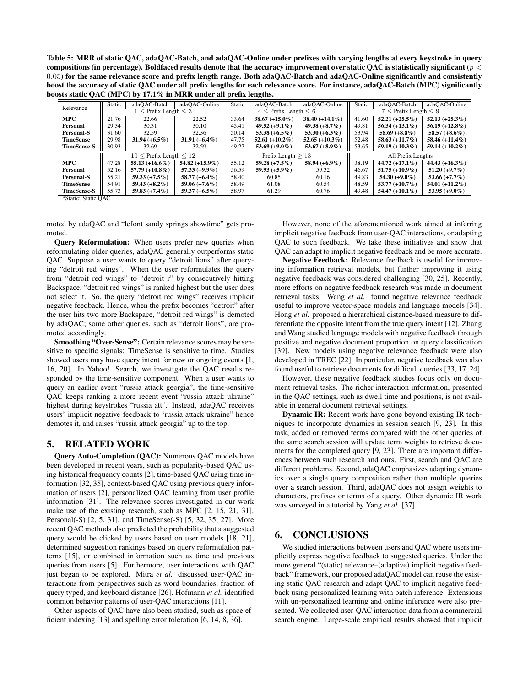Table 5: MRR of static QAC, adaQAC-Batch, and adaQAC-Online under prefixes with varying lengths at every keystroke in query compositions (in percentage). Boldfaced results denote that the accuracy improvement over static QAC is statistically significant ( $p <$ 0.05) for the same relevance score and prefix length range. Both adaQAC-Batch and adaQAC-Online significantly and consistently boost the accuracy of static QAC under all prefix lengths for each relevance score. For instance, adaQAC-Batch (MPC) significantly boosts static QAC (MPC) by 17.1% in MRR under all prefix lengths.

| Relevance          | Static                            | adaOAC-Batch      | adaOAC-Online     | Static               | adaOAC-Batch              | adaOAC-Online     | Static                    | adaQAC-Batch      | adaOAC-Online     |  |
|--------------------|-----------------------------------|-------------------|-------------------|----------------------|---------------------------|-------------------|---------------------------|-------------------|-------------------|--|
|                    | $\leq$ Prefix Length $\leq$ 3     |                   |                   |                      | $4 <$ Prefix Length $< 6$ |                   | $7 <$ Prefix Length $< 9$ |                   |                   |  |
| <b>MPC</b>         | 21.76                             | 22.66             | 22.52             | 33.64                | $38.67 (+15.0\%)$         | $38.40 (+14.1\%)$ | 41.60                     | $52.21 (+25.5\%)$ | $52.13 (+25.3\%)$ |  |
| Personal           | 29.34                             | 30.31             | 30.10             | 45.41                | $49.52 (+9.1\%)$          | $49.38 (+8.7%)$   | 49.81                     | $56.34 (+13.1\%)$ | $56.19 (+12.8\%)$ |  |
| <b>Personal-S</b>  | 31.60                             | 32.59             | 32.36             | 50.14                | 53.38 $(+6.5\%)$          | $53.30 (+6.3\%)$  | 53.94                     | $58.69 (+8.8\%)$  | 58.57 $(+8.6\%)$  |  |
| <b>TimeSense</b>   | 29.98                             | $31.94 (+6.5\%)$  | 31.91 $(+6.4\%)$  | 47.75                | 52.61 $(+10.2\%)$         | $52.65 (+10.3\%)$ | 52.48                     | $58.63 (+11.7%)$  | $58.46 (+11.4\%)$ |  |
| <b>TimeSense-S</b> | 30.93                             | 32.69             | 32.59             | 49.27                | 53.69 $(+9.0\%)$          | 53.67 $(+8.9\%)$  | 53.65                     | $59.19 (+10.3\%)$ | $59.14 (+10.2\%)$ |  |
|                    | $10 \leq$ Prefix Length $\leq 12$ |                   |                   | Prefix Length $> 13$ |                           |                   | All Prefix Lengths        |                   |                   |  |
| <b>MPC</b>         | 47.28                             | $55.13 (+16.6\%)$ | 54.82 $(+15.9\%)$ | 55.12                | $59.28 (+7.5%)$           | 58.94 $(+6.9\%)$  | 38.19                     | $44.72 (+17.1\%)$ | $44.43 (+16.3\%)$ |  |
| Personal           | 52.16                             | $57.79 (+10.8\%)$ | $57.33(+9.9\%)$   | 56.59                | $59.93 (+5.9\%)$          | 59.32             | 46.67                     | $51.75 (+10.9\%)$ | $51.20 (+9.7%)$   |  |
| Personal-S         | 55.21                             | $59.33 (+7.5%)$   | $58.77 (+6.4\%)$  | 58.40                | 60.85                     | 60.16             | 49.83                     | $54.30 (+9.0\%)$  | $53.66 (+7.7%)$   |  |
| <b>TimeSense</b>   | 54.91                             | $59.43 (+8.2\%)$  | $59.06 (+7.6\%)$  | 58.49                | 61.08                     | 60.54             | 48.59                     | $53.77 (+10.7%)$  | $54.01 (+11.2\%)$ |  |
| <b>TimeSense-S</b> | 55.73                             | $59.83 (+7.4\%)$  | $59.37 (+6.5\%)$  | 58.97                | 61.29                     | 60.76             | 49.48                     | 54.47 $(+10.1\%)$ | $53.95 (+9.0\%)$  |  |

\*Static: Static QAC

moted by adaQAC and "lefont sandy springs showtime" gets promoted.

Query Reformulation: When users prefer new queries when reformulating older queries, adaQAC generally outperforms static QAC. Suppose a user wants to query "detroit lions" after querying "detroit red wings". When the user reformulates the query from "detroit red wings" to "detroit r" by consecutively hitting Backspace, "detroit red wings" is ranked highest but the user does not select it. So, the query "detroit red wings" receives implicit negative feedback. Hence, when the prefix becomes "detroit" after the user hits two more Backspace, "detroit red wings" is demoted by adaQAC; some other queries, such as "detroit lions", are promoted accordingly.

Smoothing "Over-Sense": Certain relevance scores may be sensitive to specific signals: TimeSense is sensitive to time. Studies showed users may have query intent for new or ongoing events [1, 16, 20]. In Yahoo! Search, we investigate the QAC results responded by the time-sensitive component. When a user wants to query an earlier event "russia attack georgia", the time-sensitive QAC keeps ranking a more recent event "russia attack ukraine" highest during keystrokes "russia att". Instead, adaQAC receives users' implicit negative feedback to 'russia attack ukraine" hence demotes it, and raises "russia attack georgia" up to the top.

## 5. RELATED WORK

Query Auto-Completion (QAC): Numerous QAC models have been developed in recent years, such as popularity-based QAC using historical frequency counts [2], time-based QAC using time information [32, 35], context-based QAC using previous query information of users [2], personalized QAC learning from user profile information [31]. The relevance scores investigated in our work make use of the existing research, such as MPC [2, 15, 21, 31], Personal(-S) [2, 5, 31], and TimeSense(-S) [5, 32, 35, 27]. More recent QAC methods also predicted the probability that a suggested query would be clicked by users based on user models [18, 21], determined suggestion rankings based on query reformulation patterns [15], or combined information such as time and previous queries from users [5]. Furthermore, user interactions with QAC just began to be explored. Mitra *et al.* discussed user-QAC interactions from perspectives such as word boundaries, fraction of query typed, and keyboard distance [26]. Hofmann *et al.* identified common behavior patterns of user-QAC interactions [11].

Other aspects of QAC have also been studied, such as space efficient indexing [13] and spelling error toleration [6, 14, 8, 36].

However, none of the aforementioned work aimed at inferring implicit negative feedback from user-QAC interactions, or adapting QAC to such feedback. We take these initiatives and show that QAC can adapt to implicit negative feedback and be more accurate.

Negative Feedback: Relevance feedback is useful for improving information retrieval models, but further improving it using negative feedback was considered challenging [30, 25]. Recently, more efforts on negative feedback research was made in document retrieval tasks. Wang *et al.* found negative relevance feedback useful to improve vector-space models and language models [34]. Hong *et al.* proposed a hierarchical distance-based measure to differentiate the opposite intent from the true query intent [12]. Zhang and Wang studied language models with negative feedback through positive and negative document proportion on query classification [39]. New models using negative relevance feedback were also developed in TREC [22]. In particular, negative feedback was also found useful to retrieve documents for difficult queries [33, 17, 24].

However, these negative feedback studies focus only on document retrieval tasks. The richer interaction information, presented in the QAC settings, such as dwell time and positions, is not available in general document retrieval settings.

Dynamic IR: Recent work have gone beyond existing IR techniques to incorporate dynamics in session search [9, 23]. In this task, added or removed terms compared with the other queries of the same search session will update term weights to retrieve documents for the completed query [9, 23]. There are important differences between such research and ours. First, search and QAC are different problems. Second, adaQAC emphasizes adapting dynamics over a single query composition rather than multiple queries over a search session. Third, adaQAC does not assign weights to characters, prefixes or terms of a query. Other dynamic IR work was surveyed in a tutorial by Yang *et al.* [37].

## 6. CONCLUSIONS

We studied interactions between users and QAC where users implicitly express negative feedback to suggested queries. Under the more general "(static) relevance–(adaptive) implicit negative feedback" framework, our proposed adaQAC model can reuse the existing static QAC research and adapt QAC to implicit negative feedback using personalized learning with batch inference. Extensions with un-personalized learning and online inference were also presented. We collected user-QAC interaction data from a commercial search engine. Large-scale empirical results showed that implicit